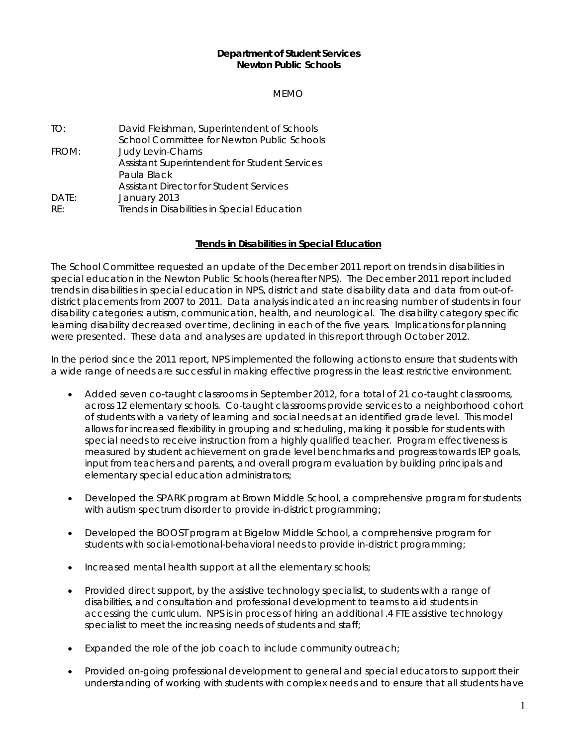#### **Department of Student Services Newton Public Schools**

MEMO

TO: David Fleishman, Superintendent of Schools School Committee for Newton Public Schools FROM: Judy Levin-Charns Assistant Superintendent for Student Services Paula Black Assistant Director for Student Services DATE: January 2013 RE: Trends in Disabilities in Special Education

## **Trends in Disabilities in Special Education**

The School Committee requested an update of the December 2011 report on trends in disabilities in special education in the Newton Public Schools (hereafter NPS). The December 2011 report included trends in disabilities in special education in NPS, district and state disability data and data from out-ofdistrict placements from 2007 to 2011. Data analysis indicated an increasing number of students in four disability categories: autism, communication, health, and neurological. The disability category specific learning disability decreased over time, declining in each of the five years. Implications for planning were presented. These data and analyses are updated in this report through October 2012.

In the period since the 2011 report, NPS implemented the following actions to ensure that students with a wide range of needs are successful in making effective progress in the least restrictive environment.

- Added seven co-taught classrooms in September 2012, for a total of 21 co-taught classrooms, across 12 elementary schools. Co-taught classrooms provide services to a neighborhood cohort of students with a variety of learning and social needs at an identified grade level. This model allows for increased flexibility in grouping and scheduling, making it possible for students with special needs to receive instruction from a highly qualified teacher. Program effectiveness is measured by student achievement on grade level benchmarks and progress towards IEP goals, input from teachers and parents, and overall program evaluation by building principals and elementary special education administrators;
- Developed the SPARK program at Brown Middle School, a comprehensive program for students with autism spectrum disorder to provide in-district programming;
- Developed the BOOST program at Bigelow Middle School, a comprehensive program for students with social-emotional-behavioral needs to provide in-district programming;
- Increased mental health support at all the elementary schools;
- Provided direct support, by the assistive technology specialist, to students with a range of disabilities, and consultation and professional development to teams to aid students in accessing the curriculum. NPS is in process of hiring an additional .4 FTE assistive technology specialist to meet the increasing needs of students and staff;
- Expanded the role of the job coach to include community outreach;
- Provided on-going professional development to general and special educators to support their understanding of working with students with complex needs and to ensure that all students have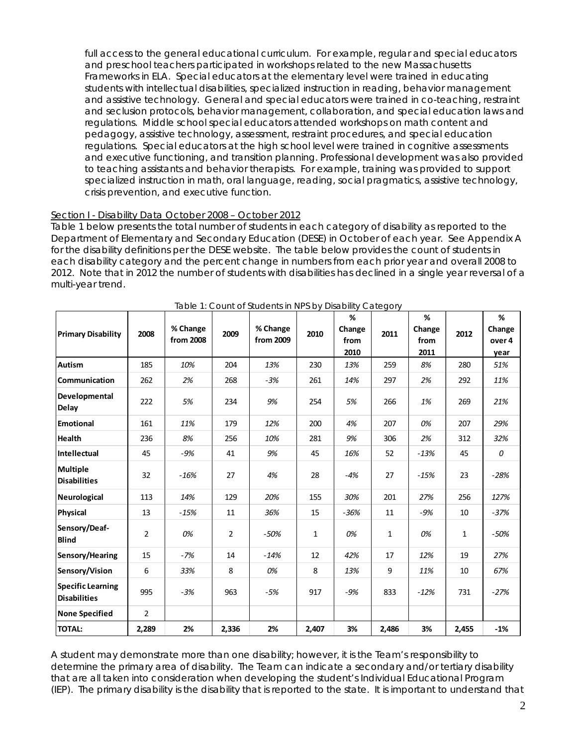full access to the general educational curriculum. For example, regular and special educators and preschool teachers participated in workshops related to the new Massachusetts Frameworks in ELA. Special educators at the elementary level were trained in educating students with intellectual disabilities, specialized instruction in reading, behavior management and assistive technology. General and special educators were trained in co-teaching, restraint and seclusion protocols, behavior management, collaboration, and special education laws and regulations. Middle school special educators attended workshops on math content and pedagogy, assistive technology, assessment, restraint procedures, and special education regulations. Special educators at the high school level were trained in cognitive assessments and executive functioning, and transition planning. Professional development was also provided to teaching assistants and behavior therapists. For example, training was provided to support specialized instruction in math, oral language, reading, social pragmatics, assistive technology, crisis prevention, and executive function.

## Section I - Disability Data October 2008 – October 2012

Table 1 below presents the total number of students in each category of disability as reported to the Department of Elementary and Secondary Education (DESE) in October of each year. See Appendix A for the disability definitions per the DESE website. The table below provides the count of students in each disability category and the percent change in numbers from each prior year and overall 2008 to 2012. Note that in 2012 the number of students with disabilities has declined in a single year reversal of a multi-year trend.

| <b>Primary Disability</b>                       | 2008           | % Change<br>from 2008 | 2009           | % Change<br>from 2009 | 2010         | %<br>Change<br>from<br>2010 | 2011         | %<br>Change<br>from<br>2011 | 2012         | $\%$<br>Change<br>over 4<br>year |
|-------------------------------------------------|----------------|-----------------------|----------------|-----------------------|--------------|-----------------------------|--------------|-----------------------------|--------------|----------------------------------|
| <b>Autism</b>                                   | 185            | 10%                   | 204            | 13%                   | 230          | 13%                         | 259          | 8%                          | 280          | 51%                              |
| Communication                                   | 262            | 2%                    | 268            | $-3%$                 | 261          | 14%                         | 297          | 2%                          | 292          | 11%                              |
| Developmental<br>Delay                          | 222            | 5%                    | 234            | 9%                    | 254          | 5%                          | 266          | 1%                          | 269          | 21%                              |
| <b>Emotional</b>                                | 161            | 11%                   | 179            | 12%                   | 200          | 4%                          | 207          | 0%                          | 207          | 29%                              |
| Health                                          | 236            | 8%                    | 256            | 10%                   | 281          | 9%                          | 306          | 2%                          | 312          | 32%                              |
| <b>Intellectual</b>                             | 45             | $-9%$                 | 41             | 9%                    | 45           | 16%                         | 52           | $-13%$                      | 45           | $\boldsymbol{0}$                 |
| <b>Multiple</b><br><b>Disabilities</b>          | 32             | $-16%$                | 27             | 4%                    | 28           | $-4%$                       | 27           | $-15%$                      | 23           | $-28%$                           |
| Neurological                                    | 113            | 14%                   | 129            | 20%                   | 155          | 30%                         | 201          | 27%                         | 256          | 127%                             |
| Physical                                        | 13             | $-15%$                | 11             | 36%                   | 15           | $-36%$                      | 11           | $-9%$                       | 10           | $-37%$                           |
| Sensory/Deaf-<br><b>Blind</b>                   | $\overline{2}$ | 0%                    | $\overline{2}$ | $-50%$                | $\mathbf{1}$ | 0%                          | $\mathbf{1}$ | 0%                          | $\mathbf{1}$ | $-50%$                           |
| Sensory/Hearing                                 | 15             | $-7%$                 | 14             | $-14%$                | 12           | 42%                         | 17           | 12%                         | 19           | 27%                              |
| Sensory/Vision                                  | 6              | 33%                   | 8              | 0%                    | 8            | 13%                         | 9            | 11%                         | 10           | 67%                              |
| <b>Specific Learning</b><br><b>Disabilities</b> | 995            | $-3%$                 | 963            | $-5%$                 | 917          | $-9%$                       | 833          | $-12%$                      | 731          | $-27%$                           |
| <b>None Specified</b>                           | $\overline{2}$ |                       |                |                       |              |                             |              |                             |              |                                  |
| <b>TOTAL:</b>                                   | 2,289          | 2%                    | 2,336          | 2%                    | 2,407        | 3%                          | 2,486        | 3%                          | 2,455        | $-1%$                            |

| Table 1: Count of Students in NPS by Disability Category |  |
|----------------------------------------------------------|--|
|----------------------------------------------------------|--|

A student may demonstrate more than one disability; however, it is the Team's responsibility to determine the primary area of disability. The Team can indicate a secondary and/or tertiary disability that are all taken into consideration when developing the student's Individual Educational Program (IEP). The primary disability is the disability that is reported to the state. It is important to understand that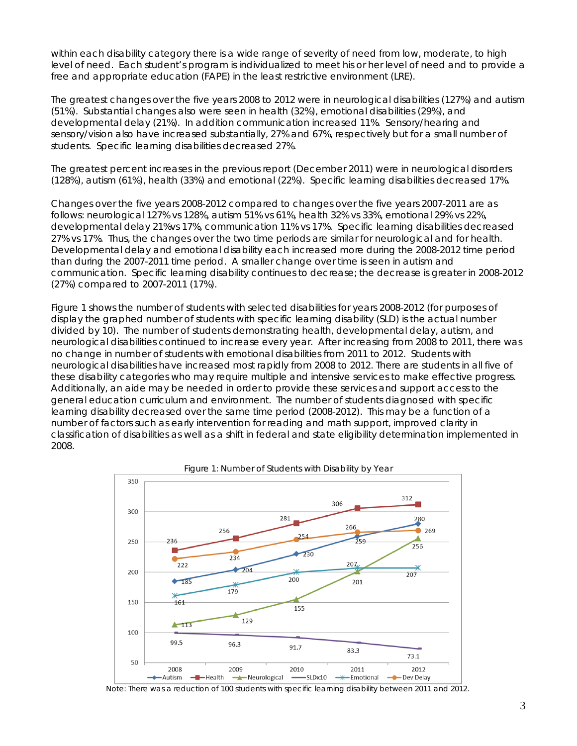within each disability category there is a wide range of severity of need from low, moderate, to high level of need. Each student's program is individualized to meet his or her level of need and to provide a free and appropriate education (FAPE) in the least restrictive environment (LRE).

The greatest changes over the five years 2008 to 2012 were in neurological disabilities (127%) and autism (51%). Substantial changes also were seen in health (32%), emotional disabilities (29%), and developmental delay (21%). In addition communication increased 11%. Sensory/hearing and sensory/vision also have increased substantially, 27% and 67%, respectively but for a small number of students. Specific learning disabilities decreased 27%.

The greatest percent increases in the previous report (December 2011) were in neurological disorders (128%), autism (61%), health (33%) and emotional (22%). Specific learning disabilities decreased 17%.

Changes over the five years 2008-2012 compared to changes over the five years 2007-2011 are as follows: neurological 127% vs 128%, autism 51% vs 61%, health 32% vs 33%, emotional 29% vs 22%, developmental delay 21%vs 17%, communication 11% vs 17%. Specific learning disabilities decreased 27% vs 17%. Thus, the changes over the two time periods are similar for neurological and for health. Developmental delay and emotional disability each increased more during the 2008-2012 time period than during the 2007-2011 time period. A smaller change over time is seen in autism and communication. Specific learning disability continues to decrease; the decrease is greater in 2008-2012 (27%) compared to 2007-2011 (17%).

Figure 1 shows the number of students with selected disabilities for years 2008-2012 (for purposes of display the graphed number of students with specific learning disability (SLD) is the actual number divided by 10). The number of students demonstrating health, developmental delay, autism, and neurological disabilities continued to increase every year. After increasing from 2008 to 2011, there was no change in number of students with emotional disabilities from 2011 to 2012. Students with neurological disabilities have increased most rapidly from 2008 to 2012. There are students in all five of these disability categories who may require multiple and intensive services to make effective progress. Additionally, an aide may be needed in order to provide these services and support access to the general education curriculum and environment. The number of students diagnosed with specific learning disability decreased over the same time period (2008-2012). This may be a function of a number of factors such as early intervention for reading and math support, improved clarity in classification of disabilities as well as a shift in federal and state eligibility determination implemented in 2008.



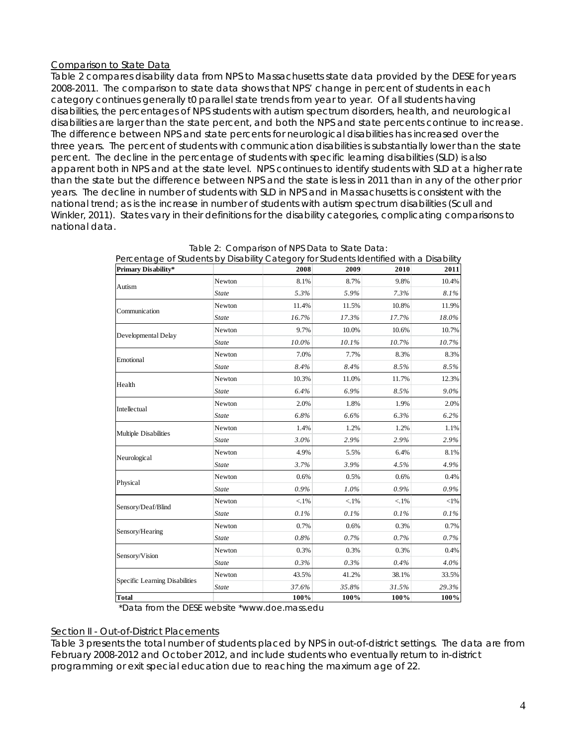# Comparison to State Data

Table 2 compares disability data from NPS to Massachusetts state data provided by the DESE for years 2008-2011. The comparison to state data shows that NPS' change in percent of students in each category continues generally t0 parallel state trends from year to year. Of all students having disabilities, the percentages of NPS students with autism spectrum disorders, health, and neurological disabilities are larger than the state percent, and both the NPS and state percents continue to increase. The difference between NPS and state percents for neurological disabilities has increased over the three years. The percent of students with communication disabilities is substantially lower than the state percent. The decline in the percentage of students with specific learning disabilities (SLD) is also apparent both in NPS and at the state level. NPS continues to identify students with SLD at a higher rate than the state but the difference between NPS and the state is less in 2011 than in any of the other prior years. The decline in number of students with SLD in NPS and in Massachusetts is consistent with the national trend; as is the increase in number of students with autism spectrum disabilities (Scull and Winkler, 2011). States vary in their definitions for the disability categories, complicating comparisons to national data.

| <b>Primary Disability*</b>     |              | 2008    | 2009    | 2010    | 2011    |
|--------------------------------|--------------|---------|---------|---------|---------|
| Autism                         | Newton       | 8.1%    | 8.7%    | 9.8%    | 10.4%   |
|                                | <b>State</b> | 5.3%    | 5.9%    | 7.3%    | 8.1%    |
| Communication                  | Newton       | 11.4%   | 11.5%   | 10.8%   | 11.9%   |
|                                | <b>State</b> | 16.7%   | 17.3%   | 17.7%   | 18.0%   |
| Developmental Delay            | Newton       | 9.7%    | 10.0%   | 10.6%   | 10.7%   |
|                                | <b>State</b> | 10.0%   | 10.1%   | 10.7%   | 10.7%   |
| Emotional                      | Newton       | 7.0%    | 7.7%    | 8.3%    | 8.3%    |
|                                | <b>State</b> | 8.4%    | 8.4%    | 8.5%    | 8.5%    |
| Health                         | Newton       | 10.3%   | 11.0%   | 11.7%   | 12.3%   |
|                                | <b>State</b> | 6.4%    | 6.9%    | 8.5%    | $9.0\%$ |
| Intellectual                   | Newton       | 2.0%    | 1.8%    | 1.9%    | 2.0%    |
|                                | <b>State</b> | 6.8%    | 6.6%    | 6.3%    | 6.2%    |
|                                | Newton       | 1.4%    | 1.2%    | 1.2%    | 1.1%    |
| Multiple Disabilities          | <b>State</b> | 3.0%    | 2.9%    | 2.9%    | 2.9%    |
|                                | Newton       | 4.9%    | 5.5%    | 6.4%    | 8.1%    |
| Neurological                   | <b>State</b> | 3.7%    | 3.9%    | 4.5%    | 4.9%    |
| Physical                       | Newton       | 0.6%    | 0.5%    | 0.6%    | 0.4%    |
|                                | <b>State</b> | 0.9%    | 1.0%    | 0.9%    | 0.9%    |
| Sensory/Deaf/Blind             | Newton       | $< 1\%$ | $< 1\%$ | $< 1\%$ | $<$ 1%  |
|                                | State        | 0.1%    | 0.1%    | 0.1%    | 0.1%    |
|                                | Newton       | 0.7%    | 0.6%    | 0.3%    | 0.7%    |
| Sensory/Hearing                | <b>State</b> | 0.8%    | 0.7%    | 0.7%    | 0.7%    |
|                                | Newton       | 0.3%    | 0.3%    | 0.3%    | 0.4%    |
| Sensory/Vision                 | <b>State</b> | 0.3%    | 0.3%    | 0.4%    | 4.0%    |
|                                | Newton       | 43.5%   | 41.2%   | 38.1%   | 33.5%   |
| Specific Learning Disabilities | <b>State</b> | 37.6%   | 35.8%   | 31.5%   | 29.3%   |
| Total                          |              | 100%    | 100%    | 100%    | 100%    |

| Table 2: Comparison of NPS Data to State Data:                                       |  |
|--------------------------------------------------------------------------------------|--|
| ooptaas of Ctudents by Disability Category for Ctudents Identified with a Disability |  |

\*Data from the DESE website \*www.doe.mass.edu

### Section II - Out-of-District Placements

Table 3 presents the total number of students placed by NPS in out-of-district settings. The data are from February 2008-2012 and October 2012, and include students who eventually return to in-district programming or exit special education due to reaching the maximum age of 22.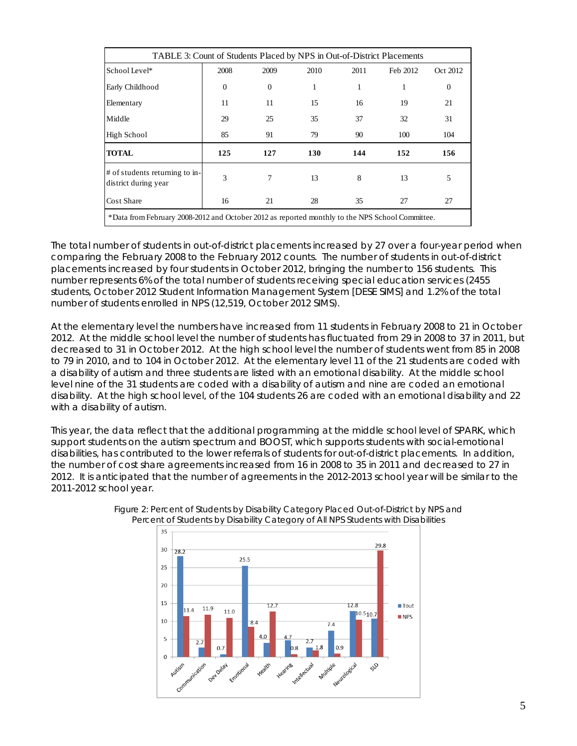| TABLE 3: Count of Students Placed by NPS in Out-of-District Placements                          |              |          |      |      |          |              |  |
|-------------------------------------------------------------------------------------------------|--------------|----------|------|------|----------|--------------|--|
| School Level*                                                                                   | 2008         | 2009     | 2010 | 2011 | Feb 2012 | Oct 2012     |  |
| Early Childhood                                                                                 | $\mathbf{0}$ | $\Omega$ | 1    | 1    | 1        | $\mathbf{0}$ |  |
| Elementary                                                                                      | 11           | 11       | 15   | 16   | 19       | 21           |  |
| Middle                                                                                          | 29           | 25       | 35   | 37   | 32       | 31           |  |
| <b>High School</b>                                                                              | 85           | 91       | 79   | 90   | 100      | 104          |  |
| <b>TOTAL</b>                                                                                    | 125          | 127      | 130  | 144  | 152      | 156          |  |
| # of students returning to in-<br>district during year                                          | 3            | 7        | 13   | 8    | 13       | 5            |  |
| Cost Share                                                                                      | 16           | 21       | 28   | 35   | 27       | 27           |  |
| *Data from February 2008-2012 and October 2012 as reported monthly to the NPS School Committee. |              |          |      |      |          |              |  |

The total number of students in out-of-district placements increased by 27 over a four-year period when comparing the February 2008 to the February 2012 counts. The number of students in out-of-district placements increased by four students in October 2012, bringing the number to 156 students. This number represents 6% of the total number of students receiving special education services (2455 students, October 2012 Student Information Management System [DESE SIMS] and 1.2% of the total number of students enrolled in NPS (12,519, October 2012 SIMS).

At the elementary level the numbers have increased from 11 students in February 2008 to 21 in October 2012. At the middle school level the number of students has fluctuated from 29 in 2008 to 37 in 2011, but decreased to 31 in October 2012. At the high school level the number of students went from 85 in 2008 to 79 in 2010, and to 104 in October 2012. At the elementary level 11 of the 21 students are coded with a disability of autism and three students are listed with an emotional disability. At the middle school level nine of the 31 students are coded with a disability of autism and nine are coded an emotional disability. At the high school level, of the 104 students 26 are coded with an emotional disability and 22 with a disability of autism.

This year, the data reflect that the additional programming at the middle school level of SPARK, which support students on the autism spectrum and BOOST, which supports students with social-emotional disabilities, has contributed to the lower referrals of students for out-of-district placements. In addition, the number of cost share agreements increased from 16 in 2008 to 35 in 2011 and decreased to 27 in 2012. It is anticipated that the number of agreements in the 2012-2013 school year will be similar to the 2011-2012 school year.



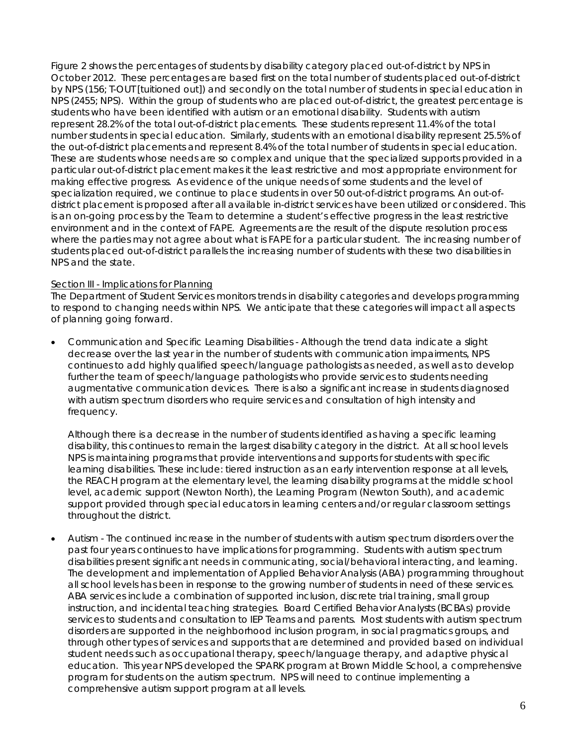Figure 2 shows the percentages of students by disability category placed out-of-district by NPS in October 2012. These percentages are based first on the total number of students placed out-of-district by NPS (156; T-OUT [tuitioned out]) and secondly on the total number of students in special education in NPS (2455; NPS). Within the group of students who are placed out-of-district, the greatest percentage is students who have been identified with autism or an emotional disability. Students with autism represent 28.2% of the total out-of-district placements. These students represent 11.4% of the total number students in special education. Similarly, students with an emotional disability represent 25.5% of the out-of-district placements and represent 8.4% of the total number of students in special education. These are students whose needs are so complex and unique that the specialized supports provided in a particular out-of-district placement makes it the least restrictive and most appropriate environment for making effective progress. As evidence of the unique needs of some students and the level of specialization required, we continue to place students in over 50 out-of-district programs. An out-ofdistrict placement is proposed after all available in-district services have been utilized or considered. This is an on-going process by the Team to determine a student's effective progress in the least restrictive environment and in the context of FAPE. Agreements are the result of the dispute resolution process where the parties may not agree about what is FAPE for a particular student. The increasing number of students placed out-of-district parallels the increasing number of students with these two disabilities in NPS and the state.

### Section III - Implications for Planning

The Department of Student Services monitors trends in disability categories and develops programming to respond to changing needs within NPS. We anticipate that these categories will impact all aspects of planning going forward.

 Communication and Specific Learning Disabilities - Although the trend data indicate a slight decrease over the last year in the number of students with communication impairments, NPS continues to add highly qualified speech/language pathologists as needed, as well as to develop further the team of speech/language pathologists who provide services to students needing augmentative communication devices. There is also a significant increase in students diagnosed with autism spectrum disorders who require services and consultation of high intensity and frequency.

Although there is a decrease in the number of students identified as having a specific learning disability, this continues to remain the largest disability category in the district. At all school levels NPS is maintaining programs that provide interventions and supports for students with specific learning disabilities. These include: tiered instruction as an early intervention response at all levels, the REACH program at the elementary level, the learning disability programs at the middle school level, academic support (Newton North), the Learning Program (Newton South), and academic support provided through special educators in learning centers and/or regular classroom settings throughout the district.

 Autism - The continued increase in the number of students with autism spectrum disorders over the past four years continues to have implications for programming. Students with autism spectrum disabilities present significant needs in communicating, social/behavioral interacting, and learning. The development and implementation of Applied Behavior Analysis (ABA) programming throughout all school levels has been in response to the growing number of students in need of these services. ABA services include a combination of supported inclusion, discrete trial training, small group instruction, and incidental teaching strategies. Board Certified Behavior Analysts (BCBAs) provide services to students and consultation to IEP Teams and parents. Most students with autism spectrum disorders are supported in the neighborhood inclusion program, in social pragmatics groups, and through other types of services and supports that are determined and provided based on individual student needs such as occupational therapy, speech/language therapy, and adaptive physical education. This year NPS developed the SPARK program at Brown Middle School, a comprehensive program for students on the autism spectrum. NPS will need to continue implementing a comprehensive autism support program at all levels.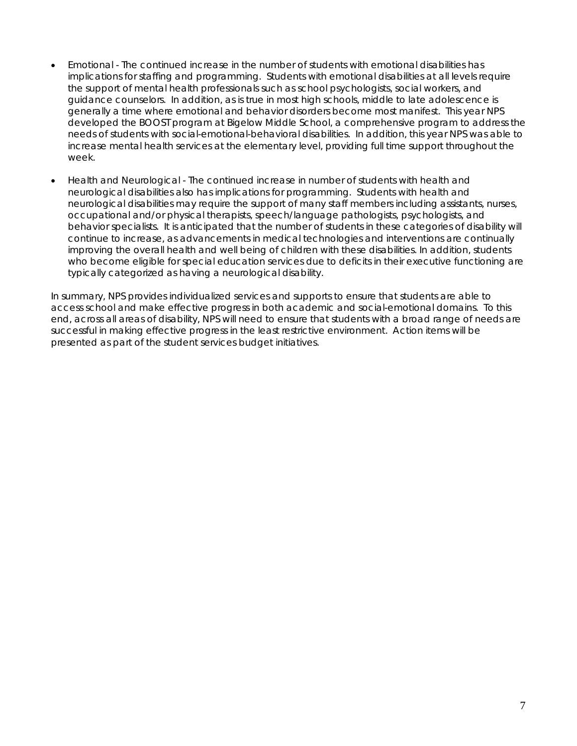- Emotional The continued increase in the number of students with emotional disabilities has implications for staffing and programming. Students with emotional disabilities at all levels require the support of mental health professionals such as school psychologists, social workers, and guidance counselors. In addition, as is true in most high schools, middle to late adolescence is generally a time where emotional and behavior disorders become most manifest. This year NPS developed the BOOST program at Bigelow Middle School, a comprehensive program to address the needs of students with social-emotional-behavioral disabilities. In addition, this year NPS was able to increase mental health services at the elementary level, providing full time support throughout the week.
- Health and Neurological The continued increase in number of students with health and neurological disabilities also has implications for programming. Students with health and neurological disabilities may require the support of many staff members including assistants, nurses, occupational and/or physical therapists, speech/language pathologists, psychologists, and behavior specialists. It is anticipated that the number of students in these categories of disability will continue to increase, as advancements in medical technologies and interventions are continually improving the overall health and well being of children with these disabilities. In addition, students who become eligible for special education services due to deficits in their executive functioning are typically categorized as having a neurological disability.

In summary, NPS provides individualized services and supports to ensure that students are able to access school and make effective progress in both academic and social-emotional domains. To this end, across all areas of disability, NPS will need to ensure that students with a broad range of needs are successful in making effective progress in the least restrictive environment. Action items will be presented as part of the student services budget initiatives.